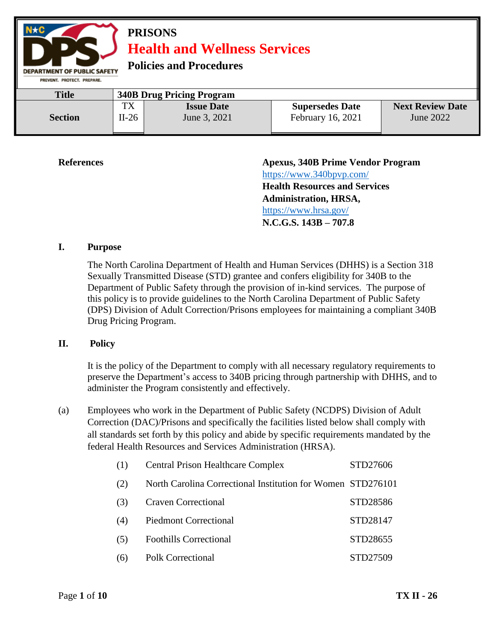

**References Apexus, 340B Prime Vendor Program**  <https://www.340bpvp.com/> **Health Resources and Services Administration, HRSA,**  <https://www.hrsa.gov/> **N.C.G.S. 143B – 707.8**

#### **I. Purpose**

The North Carolina Department of Health and Human Services (DHHS) is a Section 318 Sexually Transmitted Disease (STD) grantee and confers eligibility for 340B to the Department of Public Safety through the provision of in-kind services. The purpose of this policy is to provide guidelines to the North Carolina Department of Public Safety (DPS) Division of Adult Correction/Prisons employees for maintaining a compliant 340B Drug Pricing Program.

#### **II. Policy**

It is the policy of the Department to comply with all necessary regulatory requirements to preserve the Department's access to 340B pricing through partnership with DHHS, and to administer the Program consistently and effectively.

(a) Employees who work in the Department of Public Safety (NCDPS) Division of Adult Correction (DAC)/Prisons and specifically the facilities listed below shall comply with all standards set forth by this policy and abide by specific requirements mandated by the federal Health Resources and Services Administration (HRSA).

| (1) | <b>Central Prison Healthcare Complex</b>                    | STD27606 |
|-----|-------------------------------------------------------------|----------|
| (2) | North Carolina Correctional Institution for Women STD276101 |          |
| (3) | <b>Craven Correctional</b>                                  | STD28586 |
| (4) | <b>Piedmont Correctional</b>                                | STD28147 |
| (5) | <b>Foothills Correctional</b>                               | STD28655 |
| (6) | <b>Polk Correctional</b>                                    | STD27509 |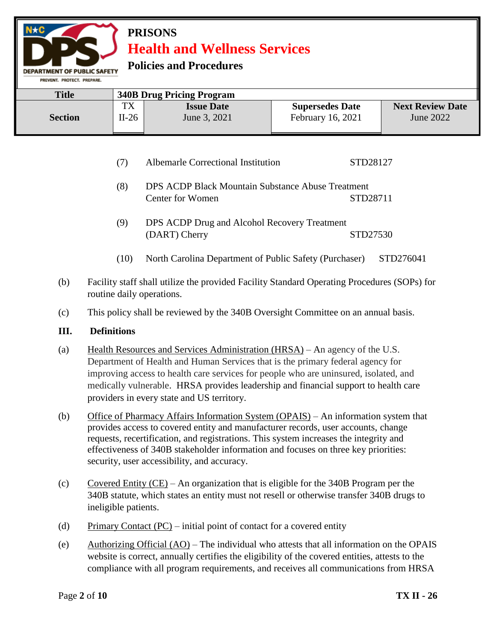**Policies and Procedures** 

PREVENT. PROTECT. PREPARE. **Title 340B Drug Pricing Program** TX **Issue Date Supersedes Date Next Review Date Section** II-26 June 3, 2021 February 16, 2021 June 2022

- (7) Albemarle Correctional Institution STD28127
- (8) DPS ACDP Black Mountain Substance Abuse Treatment Center for Women STD28711
- (9) DPS ACDP Drug and Alcohol Recovery Treatment (DART) Cherry STD27530
- (10) North Carolina Department of Public Safety (Purchaser) STD276041
- (b) Facility staff shall utilize the provided Facility Standard Operating Procedures (SOPs) for routine daily operations.
- (c) This policy shall be reviewed by the 340B Oversight Committee on an annual basis.

#### **III. Definitions**

- (a) Health Resources and Services Administration (HRSA) An agency of the U.S. Department of Health and Human Services that is the primary federal agency for improving access to health care services for people who are uninsured, isolated, and medically vulnerable. HRSA provides leadership and financial support to health care providers in every state and US territory.
- (b) Office of Pharmacy Affairs Information System (OPAIS) An information system that provides access to covered entity and manufacturer records, user accounts, change requests, recertification, and registrations. This system increases the integrity and effectiveness of 340B stakeholder information and focuses on three key priorities: security, user accessibility, and accuracy.
- (c) Covered Entity (CE) An organization that is eligible for the 340B Program per the 340B statute, which states an entity must not resell or otherwise transfer 340B drugs to ineligible patients.
- (d) Primary Contact  $(PC)$  initial point of contact for a covered entity
- (e) Authorizing Official (AO) The individual who attests that all information on the OPAIS website is correct, annually certifies the eligibility of the covered entities, attests to the compliance with all program requirements, and receives all communications from HRSA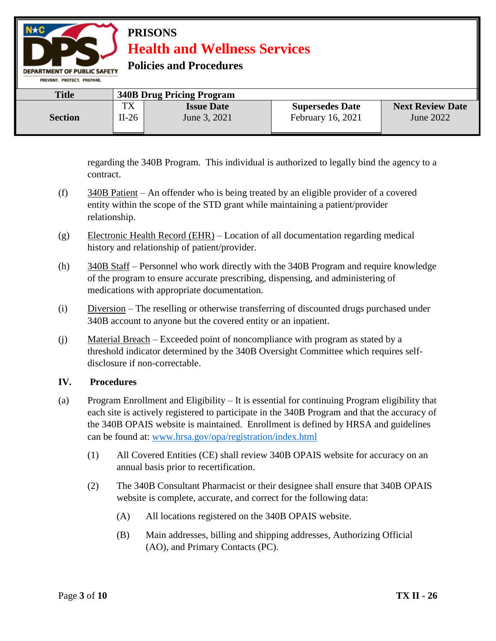**Policies and Procedures** 

| PREVENT, PROTECT, PREPARE, |       |                                  |                        |                         |
|----------------------------|-------|----------------------------------|------------------------|-------------------------|
| <b>Title</b>               |       | <b>340B Drug Pricing Program</b> |                        |                         |
|                            | TX    | <b>Issue Date</b>                | <b>Supersedes Date</b> | <b>Next Review Date</b> |
| <b>Section</b>             | II-26 | June 3, 2021                     | February 16, 2021      | June 2022               |

regarding the 340B Program. This individual is authorized to legally bind the agency to a contract.

- (f) 340B Patient An offender who is being treated by an eligible provider of a covered entity within the scope of the STD grant while maintaining a patient/provider relationship.
- (g) Electronic Health Record (EHR) Location of all documentation regarding medical history and relationship of patient/provider.
- (h) 340B Staff Personnel who work directly with the 340B Program and require knowledge of the program to ensure accurate prescribing, dispensing, and administering of medications with appropriate documentation.
- (i) Diversion The reselling or otherwise transferring of discounted drugs purchased under 340B account to anyone but the covered entity or an inpatient.
- (j) Material Breach Exceeded point of noncompliance with program as stated by a threshold indicator determined by the 340B Oversight Committee which requires selfdisclosure if non-correctable.

#### **IV. Procedures**

- (a) Program Enrollment and Eligibility It is essential for continuing Program eligibility that each site is actively registered to participate in the 340B Program and that the accuracy of the 340B OPAIS website is maintained. Enrollment is defined by HRSA and guidelines can be found at: [www.hrsa.gov/opa/registration/index.html](http://www.hrsa.gov/opa/registration/index.html) 
	- (1) All Covered Entities (CE) shall review 340B OPAIS website for accuracy on an annual basis prior to recertification.
	- (2) The 340B Consultant Pharmacist or their designee shall ensure that 340B OPAIS website is complete, accurate, and correct for the following data:
		- (A) All locations registered on the 340B OPAIS website.
		- (B) Main addresses, billing and shipping addresses, Authorizing Official (AO), and Primary Contacts (PC).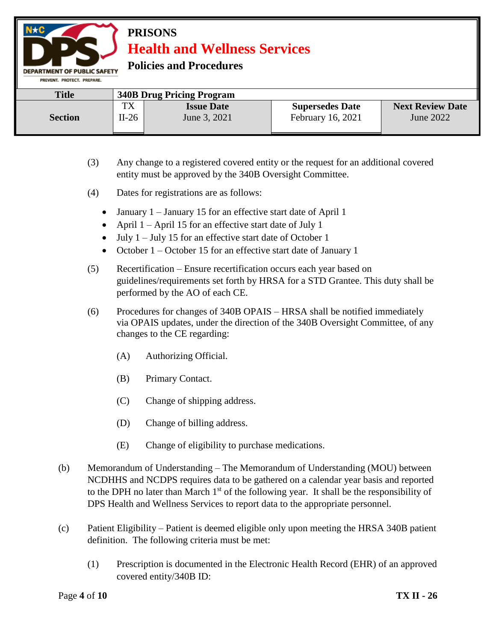**Policies and Procedures** 

| PREVENT, PROTECT, PREPARE, |         |                                  |                        |                         |
|----------------------------|---------|----------------------------------|------------------------|-------------------------|
| <b>Title</b>               |         | <b>340B Drug Pricing Program</b> |                        |                         |
|                            | TX      | <b>Issue Date</b>                | <b>Supersedes Date</b> | <b>Next Review Date</b> |
| <b>Section</b>             | $II-26$ | June 3, 2021                     | February 16, 2021      | June 2022               |
|                            |         |                                  |                        |                         |

- (3) Any change to a registered covered entity or the request for an additional covered entity must be approved by the 340B Oversight Committee.
- (4) Dates for registrations are as follows:
	- January 1 January 15 for an effective start date of April 1
	- April  $1 -$ April 15 for an effective start date of July 1
	- $\bullet$  July 1 July 15 for an effective start date of October 1
	- October 1 October 15 for an effective start date of January 1
- (5) Recertification Ensure recertification occurs each year based on guidelines/requirements set forth by HRSA for a STD Grantee. This duty shall be performed by the AO of each CE.
- (6) Procedures for changes of 340B OPAIS HRSA shall be notified immediately via OPAIS updates, under the direction of the 340B Oversight Committee, of any changes to the CE regarding:
	- (A) Authorizing Official.
	- (B) Primary Contact.
	- (C) Change of shipping address.
	- (D) Change of billing address.
	- (E) Change of eligibility to purchase medications.
- (b) Memorandum of Understanding The Memorandum of Understanding (MOU) between NCDHHS and NCDPS requires data to be gathered on a calendar year basis and reported to the DPH no later than March  $1<sup>st</sup>$  of the following year. It shall be the responsibility of DPS Health and Wellness Services to report data to the appropriate personnel.
- (c) Patient Eligibility Patient is deemed eligible only upon meeting the HRSA 340B patient definition. The following criteria must be met:
	- (1) Prescription is documented in the Electronic Health Record (EHR) of an approved covered entity/340B ID: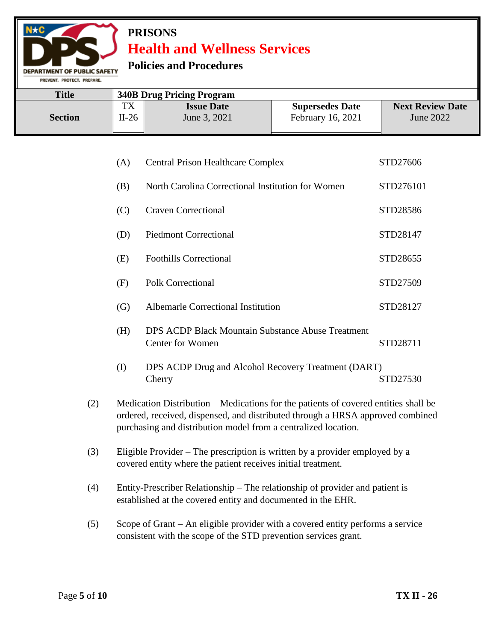### **Policies and Procedures**

**DEPARTMENT OF PUBLIC SAFETY** PREVENT. PROTECT. PREPARE.

| <b>Title</b>   |                   | <b>340B Drug Pricing Program</b>  |                                             |                                      |  |  |
|----------------|-------------------|-----------------------------------|---------------------------------------------|--------------------------------------|--|--|
| <b>Section</b> | тv<br>ıΛ<br>II-26 | <b>Issue Date</b><br>June 3, 2021 | <b>Supersedes Date</b><br>February 16, 2021 | <b>Next Review Date</b><br>June 2022 |  |  |

| (A) | Central Prison Healthcare Complex                                                   | STD27606  |
|-----|-------------------------------------------------------------------------------------|-----------|
| (B) | North Carolina Correctional Institution for Women                                   | STD276101 |
| (C) | <b>Craven Correctional</b>                                                          | STD28586  |
| (D) | <b>Piedmont Correctional</b>                                                        | STD28147  |
| (E) | <b>Foothills Correctional</b>                                                       | STD28655  |
| (F) | <b>Polk Correctional</b>                                                            | STD27509  |
| (G) | Albemarle Correctional Institution                                                  | STD28127  |
| (H) | <b>DPS ACDP Black Mountain Substance Abuse Treatment</b><br><b>Center for Women</b> | STD28711  |
| (I) | DPS ACDP Drug and Alcohol Recovery Treatment (DART)<br>Cherry                       | STD27530  |

- (2) Medication Distribution Medications for the patients of covered entities shall be ordered, received, dispensed, and distributed through a HRSA approved combined purchasing and distribution model from a centralized location.
- (3) Eligible Provider The prescription is written by a provider employed by a covered entity where the patient receives initial treatment.
- (4) Entity-Prescriber Relationship The relationship of provider and patient is established at the covered entity and documented in the EHR.
- (5) Scope of Grant An eligible provider with a covered entity performs a service consistent with the scope of the STD prevention services grant.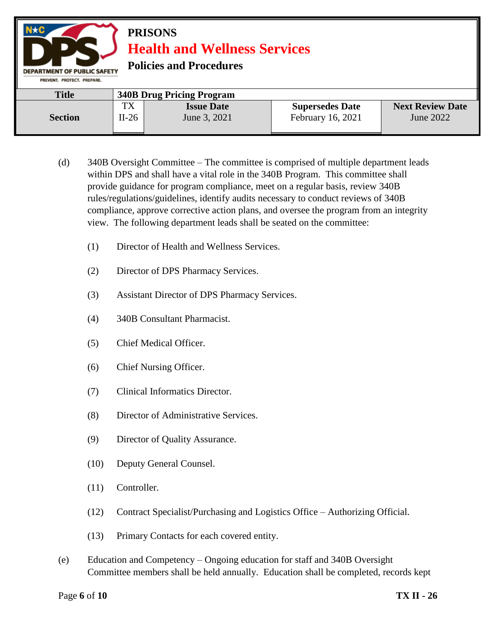#### **PRISONS Health and Wellness Services Policies and Procedures DEPARTMENT OF PUBLIC SAFETY** PREVENT. PROTECT. PREPARE. **Title 340B Drug Pricing Program** TX **Issue Date Supersedes Date Next Review Date Section** II-26 June 3, 2021 February 16, 2021 June 2022

- (d) 340B Oversight Committee The committee is comprised of multiple department leads within DPS and shall have a vital role in the 340B Program. This committee shall provide guidance for program compliance, meet on a regular basis, review 340B rules/regulations/guidelines, identify audits necessary to conduct reviews of 340B compliance, approve corrective action plans, and oversee the program from an integrity view. The following department leads shall be seated on the committee:
	- (1) Director of Health and Wellness Services.
	- (2) Director of DPS Pharmacy Services.
	- (3) Assistant Director of DPS Pharmacy Services.
	- (4) 340B Consultant Pharmacist.
	- (5) Chief Medical Officer.
	- (6) Chief Nursing Officer.
	- (7) Clinical Informatics Director.
	- (8) Director of Administrative Services.
	- (9) Director of Quality Assurance.
	- (10) Deputy General Counsel.
	- (11) Controller.
	- (12) Contract Specialist/Purchasing and Logistics Office Authorizing Official.
	- (13) Primary Contacts for each covered entity.
- (e) Education and Competency Ongoing education for staff and 340B Oversight Committee members shall be held annually. Education shall be completed, records kept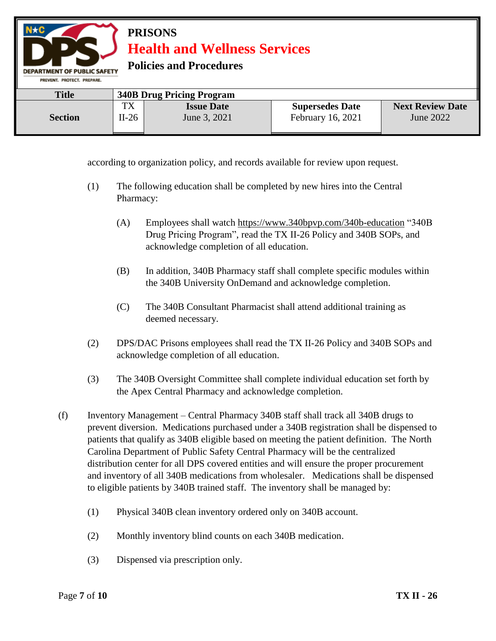**Policies and Procedures** 

DEPARTMENT OF PUBLIC SAFETY

| PREVENT, PROTECT, PREPARE, |         |                                  |                        |                         |
|----------------------------|---------|----------------------------------|------------------------|-------------------------|
| <b>Title</b>               |         | <b>340B Drug Pricing Program</b> |                        |                         |
|                            | TX      | <b>Issue Date</b>                | <b>Supersedes Date</b> | <b>Next Review Date</b> |
| <b>Section</b>             | $II-26$ | June 3, 2021                     | February 16, 2021      | June 2022               |

according to organization policy, and records available for review upon request.

- (1) The following education shall be completed by new hires into the Central Pharmacy:
	- (A) Employees shall watch<https://www.340bpvp.com/340b-education> "340B Drug Pricing Program", read the TX II-26 Policy and 340B SOPs, and acknowledge completion of all education.
	- (B) In addition, 340B Pharmacy staff shall complete specific modules within the 340B University OnDemand and acknowledge completion.
	- (C) The 340B Consultant Pharmacist shall attend additional training as deemed necessary.
- (2) DPS/DAC Prisons employees shall read the TX II-26 Policy and 340B SOPs and acknowledge completion of all education.
- (3) The 340B Oversight Committee shall complete individual education set forth by the Apex Central Pharmacy and acknowledge completion.
- (f) Inventory Management Central Pharmacy 340B staff shall track all 340B drugs to prevent diversion. Medications purchased under a 340B registration shall be dispensed to patients that qualify as 340B eligible based on meeting the patient definition. The North Carolina Department of Public Safety Central Pharmacy will be the centralized distribution center for all DPS covered entities and will ensure the proper procurement and inventory of all 340B medications from wholesaler. Medications shall be dispensed to eligible patients by 340B trained staff. The inventory shall be managed by:
	- (1) Physical 340B clean inventory ordered only on 340B account.
	- (2) Monthly inventory blind counts on each 340B medication.
	- (3) Dispensed via prescription only.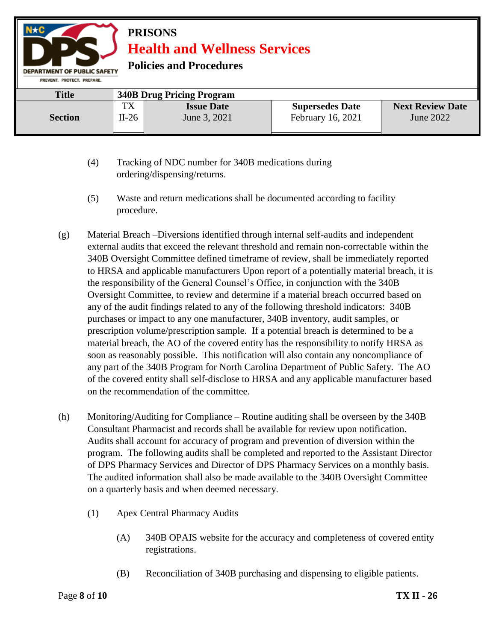**Policies and Procedures** 

| PREVENT, PROTECT, PREPARE, |         |                                  |                        |                         |
|----------------------------|---------|----------------------------------|------------------------|-------------------------|
| <b>Title</b>               |         | <b>340B Drug Pricing Program</b> |                        |                         |
|                            | TX      | <b>Issue Date</b>                | <b>Supersedes Date</b> | <b>Next Review Date</b> |
| <b>Section</b>             | $II-26$ | June 3, 2021                     | February 16, 2021      | June 2022               |

- (4) Tracking of NDC number for 340B medications during ordering/dispensing/returns.
- (5) Waste and return medications shall be documented according to facility procedure.
- (g) Material Breach –Diversions identified through internal self-audits and independent external audits that exceed the relevant threshold and remain non-correctable within the 340B Oversight Committee defined timeframe of review, shall be immediately reported to HRSA and applicable manufacturers Upon report of a potentially material breach, it is the responsibility of the General Counsel's Office, in conjunction with the 340B Oversight Committee, to review and determine if a material breach occurred based on any of the audit findings related to any of the following threshold indicators: 340B purchases or impact to any one manufacturer, 340B inventory, audit samples, or prescription volume/prescription sample. If a potential breach is determined to be a material breach, the AO of the covered entity has the responsibility to notify HRSA as soon as reasonably possible. This notification will also contain any noncompliance of any part of the 340B Program for North Carolina Department of Public Safety. The AO of the covered entity shall self-disclose to HRSA and any applicable manufacturer based on the recommendation of the committee.
- (h) Monitoring/Auditing for Compliance Routine auditing shall be overseen by the 340B Consultant Pharmacist and records shall be available for review upon notification. Audits shall account for accuracy of program and prevention of diversion within the program. The following audits shall be completed and reported to the Assistant Director of DPS Pharmacy Services and Director of DPS Pharmacy Services on a monthly basis. The audited information shall also be made available to the 340B Oversight Committee on a quarterly basis and when deemed necessary.
	- (1) Apex Central Pharmacy Audits
		- (A) 340B OPAIS website for the accuracy and completeness of covered entity registrations.
		- (B) Reconciliation of 340B purchasing and dispensing to eligible patients.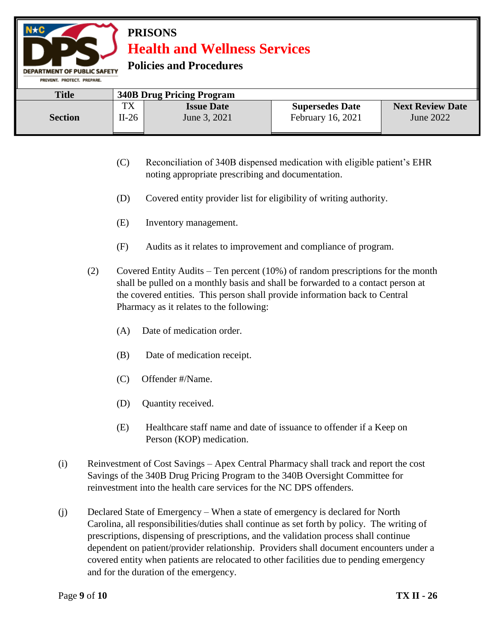**Policies and Procedures** 

| <b>Title</b>   |                   | <b>340B Drug Pricing Program</b>  |                                             |                                      |
|----------------|-------------------|-----------------------------------|---------------------------------------------|--------------------------------------|
| <b>Section</b> | тv<br>IΛ<br>II-26 | <b>Issue Date</b><br>June 3, 2021 | <b>Supersedes Date</b><br>February 16, 2021 | <b>Next Review Date</b><br>June 2022 |

- (C) Reconciliation of 340B dispensed medication with eligible patient's EHR noting appropriate prescribing and documentation.
- (D) Covered entity provider list for eligibility of writing authority.
- (E) Inventory management.
- (F) Audits as it relates to improvement and compliance of program.
- (2) Covered Entity Audits Ten percent (10%) of random prescriptions for the month shall be pulled on a monthly basis and shall be forwarded to a contact person at the covered entities. This person shall provide information back to Central Pharmacy as it relates to the following:
	- (A) Date of medication order.
	- (B) Date of medication receipt.
	- (C) Offender #/Name.
	- (D) Quantity received.
	- (E) Healthcare staff name and date of issuance to offender if a Keep on Person (KOP) medication.
- (i) Reinvestment of Cost Savings Apex Central Pharmacy shall track and report the cost Savings of the 340B Drug Pricing Program to the 340B Oversight Committee for reinvestment into the health care services for the NC DPS offenders.
- (j) Declared State of Emergency When a state of emergency is declared for North Carolina, all responsibilities/duties shall continue as set forth by policy. The writing of prescriptions, dispensing of prescriptions, and the validation process shall continue dependent on patient/provider relationship. Providers shall document encounters under a covered entity when patients are relocated to other facilities due to pending emergency and for the duration of the emergency.